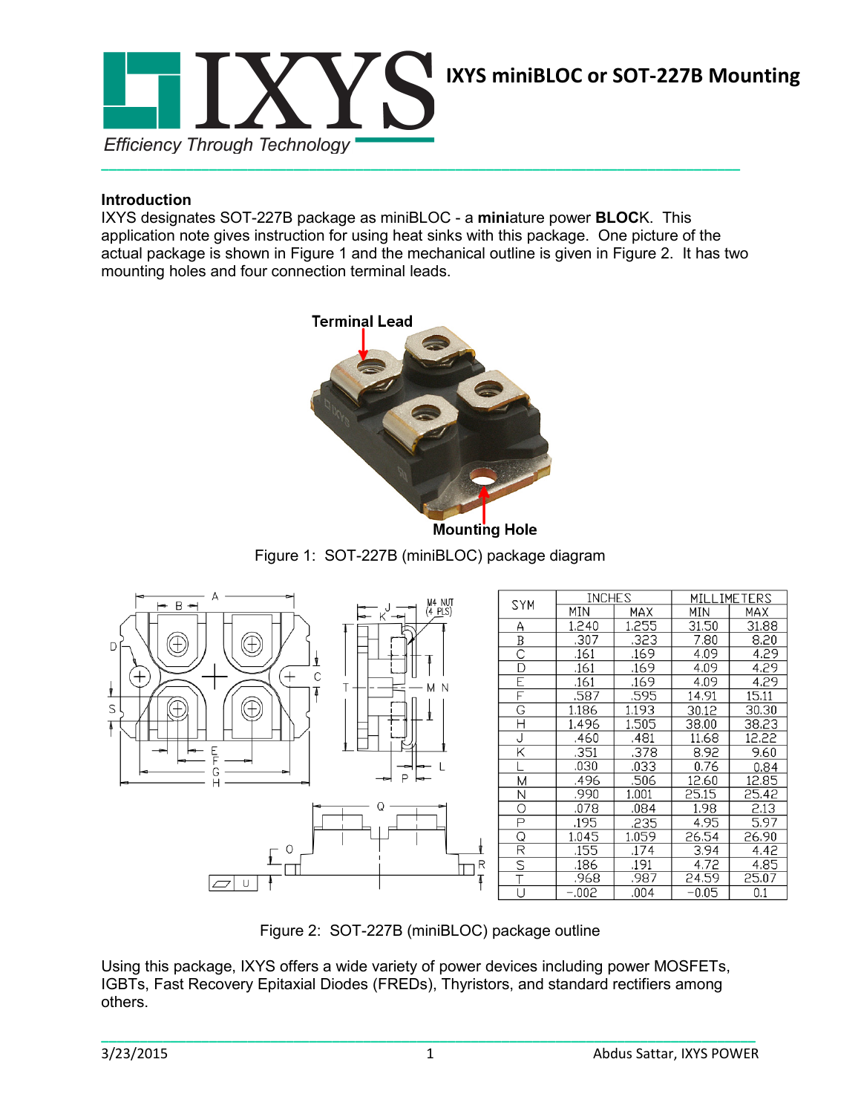

## **Introduction**

IXYS designates SOT-227B package as miniBLOC - a **mini**ature power **BLOC**K. This application note gives instruction for using heat sinks with this package. One picture of the actual package is shown in Figure 1 and the mechanical outline is given in Figure 2. It has two mounting holes and four connection terminal leads.



**Mounting Hole** 

Figure 1: SOT-227B (miniBLOC) package diagram



Figure 2: SOT-227B (miniBLOC) package outline

Using this package, IXYS offers a wide variety of power devices including power MOSFETs, IGBTs, Fast Recovery Epitaxial Diodes (FREDs), Thyristors, and standard rectifiers among others.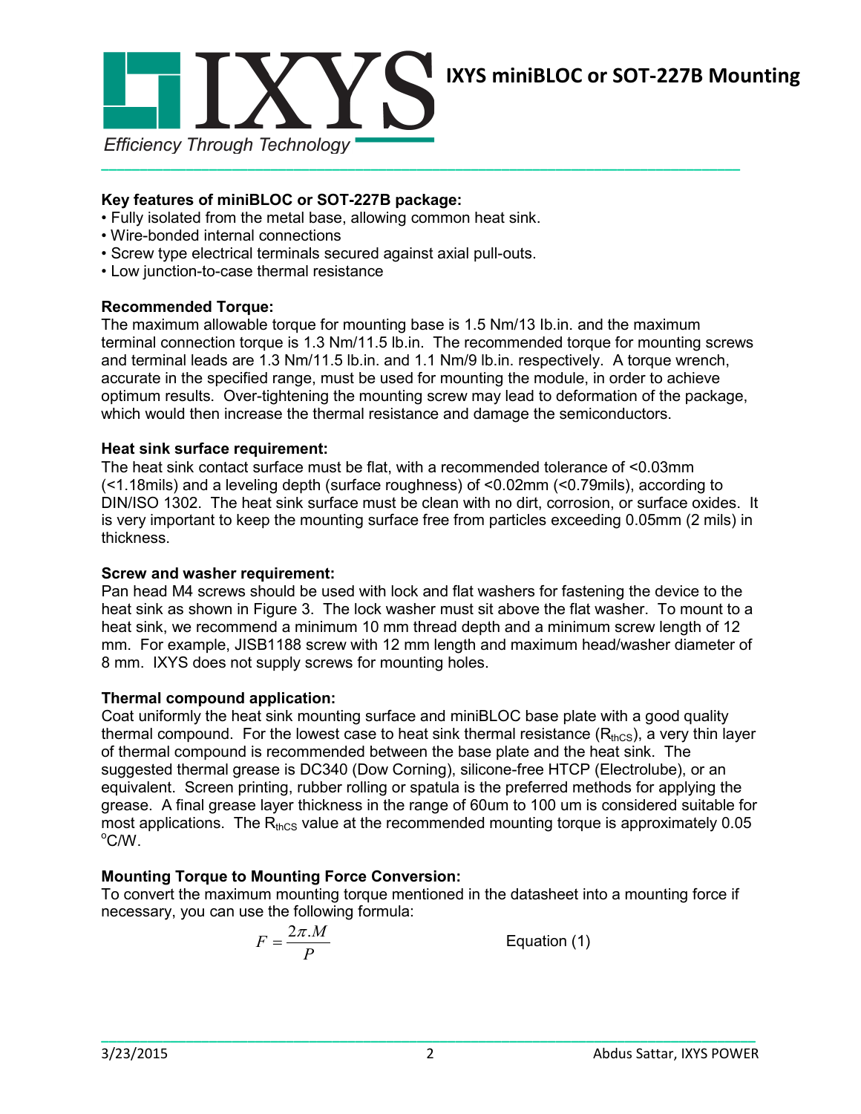

# **IXYS miniBLOC or SOT-227B Mounting**

## **Key features of miniBLOC or SOT-227B package:**

- Fully isolated from the metal base, allowing common heat sink.
- Wire-bonded internal connections
- Screw type electrical terminals secured against axial pull-outs.
- Low junction-to-case thermal resistance

## **Recommended Torque:**

The maximum allowable torque for mounting base is 1.5 Nm/13 Ib.in. and the maximum terminal connection torque is 1.3 Nm/11.5 lb.in. The recommended torque for mounting screws and terminal leads are 1.3 Nm/11.5 lb.in. and 1.1 Nm/9 lb.in. respectively. A torque wrench, accurate in the specified range, must be used for mounting the module, in order to achieve optimum results. Over-tightening the mounting screw may lead to deformation of the package, which would then increase the thermal resistance and damage the semiconductors.

## **Heat sink surface requirement:**

The heat sink contact surface must be flat, with a recommended tolerance of <0.03mm (<1.18mils) and a leveling depth (surface roughness) of <0.02mm (<0.79mils), according to DIN/ISO 1302. The heat sink surface must be clean with no dirt, corrosion, or surface oxides. It is very important to keep the mounting surface free from particles exceeding 0.05mm (2 mils) in thickness.

#### **Screw and washer requirement:**

Pan head M4 screws should be used with lock and flat washers for fastening the device to the heat sink as shown in Figure 3. The lock washer must sit above the flat washer. To mount to a heat sink, we recommend a minimum 10 mm thread depth and a minimum screw length of 12 mm. For example, JISB1188 screw with 12 mm length and maximum head/washer diameter of 8 mm. IXYS does not supply screws for mounting holes.

#### **Thermal compound application:**

Coat uniformly the heat sink mounting surface and miniBLOC base plate with a good quality thermal compound. For the lowest case to heat sink thermal resistance  $(R_{\text{thcs}})$ , a very thin layer of thermal compound is recommended between the base plate and the heat sink. The suggested thermal grease is DC340 (Dow Corning), silicone-free HTCP (Electrolube), or an equivalent. Screen printing, rubber rolling or spatula is the preferred methods for applying the grease. A final grease layer thickness in the range of 60um to 100 um is considered suitable for most applications. The  $R_{thCS}$  value at the recommended mounting torque is approximately 0.05  $\mathrm{^{\circ} C/W}$ .

# **Mounting Torque to Mounting Force Conversion:**

To convert the maximum mounting torque mentioned in the datasheet into a mounting force if necessary, you can use the following formula:

$$
F = \frac{2\pi.M}{P}
$$

**Equation (1)**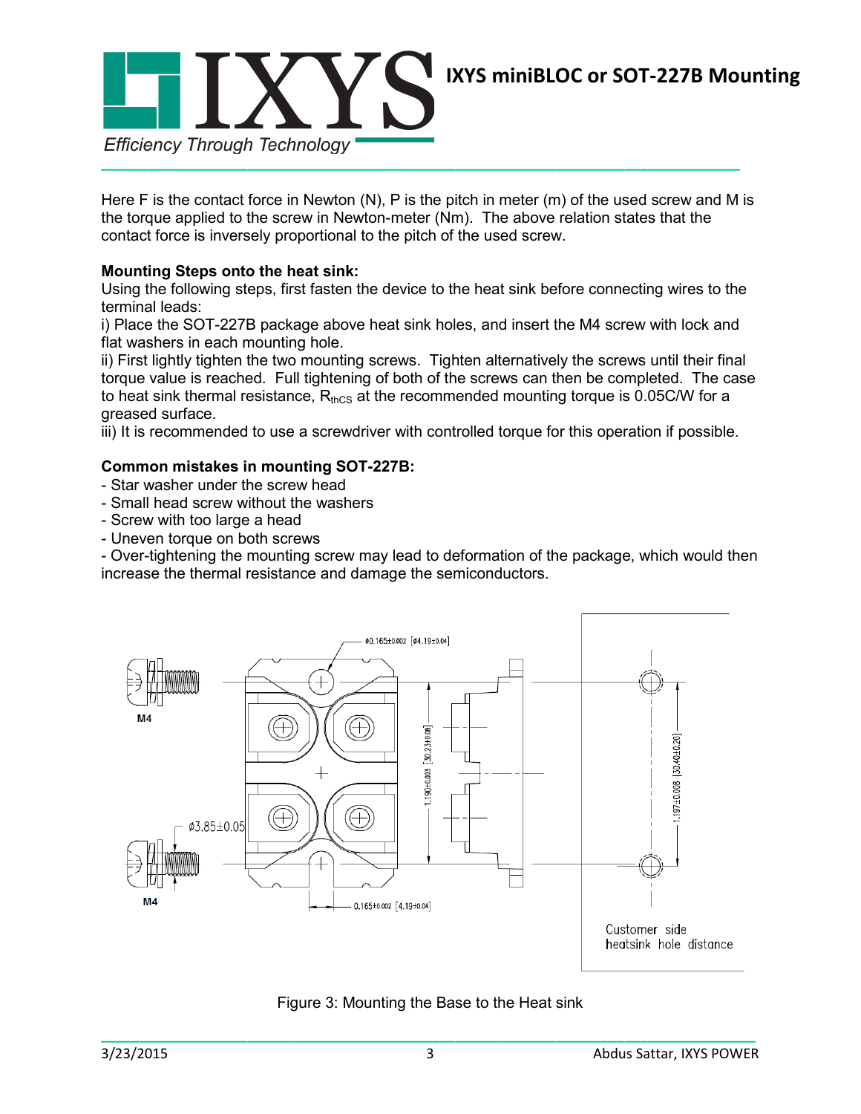

Here F is the contact force in Newton (N), P is the pitch in meter (m) of the used screw and M is the torque applied to the screw in Newton-meter (Nm). The above relation states that the contact force is inversely proportional to the pitch of the used screw.

# **Mounting Steps onto the heat sink:**

Using the following steps, first fasten the device to the heat sink before connecting wires to the terminal leads:

i) Place the SOT-227B package above heat sink holes, and insert the M4 screw with lock and flat washers in each mounting hole.

ii) First lightly tighten the two mounting screws. Tighten alternatively the screws until their final torque value is reached. Full tightening of both of the screws can then be completed. The case to heat sink thermal resistance,  $R_{thcs}$  at the recommended mounting torque is 0.05C/W for a greased surface.

iii) It is recommended to use a screwdriver with controlled torque for this operation if possible.

# **Common mistakes in mounting SOT-227B:**

- Star washer under the screw head
- Small head screw without the washers
- Screw with too large a head
- Uneven torque on both screws

- Over-tightening the mounting screw may lead to deformation of the package, which would then increase the thermal resistance and damage the semiconductors.



Figure 3: Mounting the Base to the Heat sink